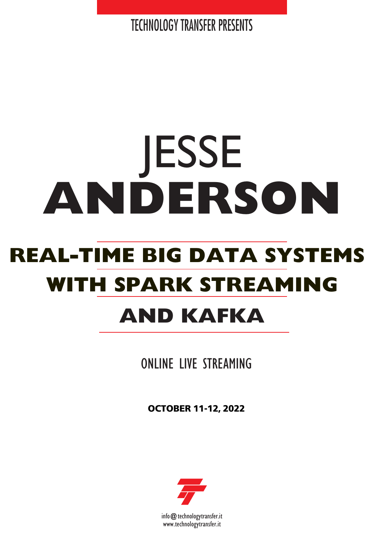**TECHNOLOGY TRANSFER PRESENTS** 

# **REAL-TIME BIG DATA SYSTEMS** JESSE **ANDERSON WITH SPARK STREAMING AND KAFKA**

ONLINE LIVE STREAMING

**OCTOBER 11-12, 2022**



info@technologytransfer.it www.technologytransfer.it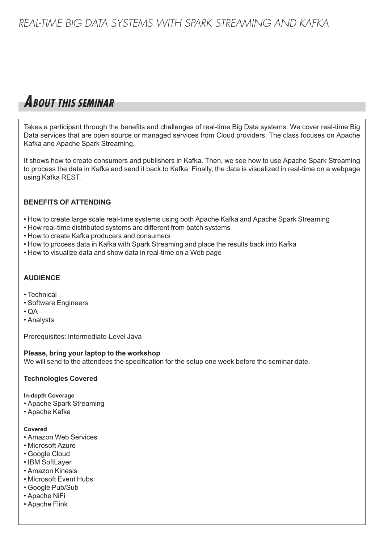## **ABOUT THIS SEMINAR**

Takes a participant through the benefits and challenges of real-time Big Data systems. We cover real-time Big Data services that are open source or managed services from Cloud providers. The class focuses on Apache Kafka and Apache Spark Streaming.

It shows how to create consumers and publishers in Kafka. Then, we see how to use Apache Spark Streaming to process the data in Kafka and send it back to Kafka. Finally, the data is visualized in real-time on a webpage using Kafka REST.

#### **BENEFITS OF ATTENDING**

- How to create large scale real-time systems using both Apache Kafka and Apache Spark Streaming
- How real-time distributed systems are different from batch systems
- How to create Kafka producers and consumers
- How to process data in Kafka with Spark Streaming and place the results back into Kafka
- How to visualize data and show data in real-time on a Web page

#### **AUDIENCE**

- Technical
- Software Engineers
- QA
- Analysts

Prerequisites: Intermediate-Level Java

**Please, bring your laptop to the workshop** We will send to the attendees the specification for the setup one week before the seminar date.

#### **Technologies Covered**

#### **In-depth Coverage**

- Apache Spark Streaming
- Apache Kafka

#### **Covered**

- Amazon Web Services
- Microsoft Azure
- Google Cloud
- IBM SoftLayer
- Amazon Kinesis
- Microsoft Event Hubs
- Google Pub/Sub
- Apache NiFi
- Apache Flink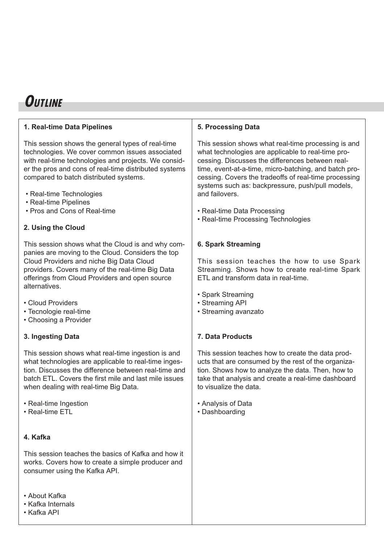## **OUTLINE**

#### **1. Real-time Data Pipelines**

This session shows the general types of real-time technologies. We cover common issues associated with real-time technologies and projects. We consider the pros and cons of real-time distributed systems compared to batch distributed systems.

- Real-time Technologies
- Real-time Pipelines
- Pros and Cons of Real-time

### **2. Using the Cloud**

This session shows what the Cloud is and why companies are moving to the Cloud. Considers the top Cloud Providers and niche Big Data Cloud providers. Covers many of the real-time Big Data offerings from Cloud Providers and open source alternatives.

- Cloud Providers
- Tecnologie real-time
- Choosing a Provider

#### **3. Ingesting Data**

This session shows what real-time ingestion is and what technologies are applicable to real-time ingestion. Discusses the difference between real-time and batch FTL. Covers the first mile and last mile issues when dealing with real-time Big Data.

- Real-time Ingestion
- Real-time ETL

#### **4. Kafka**

This session teaches the basics of Kafka and how it works. Covers how to create a simple producer and consumer using the Kafka API.

- About Kafka
- Kafka Internals

#### • Kafka API

#### **5. Processing Data**

This session shows what real-time processing is and what technologies are applicable to real-time processing. Discusses the differences between realtime, event-at-a-time, micro-batching, and batch processing. Covers the tradeoffs of real-time processing systems such as: backpressure, push/pull models, and failovers.

- Real-time Data Processing
- Real-time Processing Technologies

#### **6. Spark Streaming**

This session teaches the how to use Spark Streaming. Shows how to create real-time Spark ETL and transform data in real-time.

- Spark Streaming
- Streaming API
- Streaming avanzato

#### **7. Data Products**

This session teaches how to create the data products that are consumed by the rest of the organization. Shows how to analyze the data. Then, how to take that analysis and create a real-time dashboard to visualize the data.

- Analysis of Data
- Dashboarding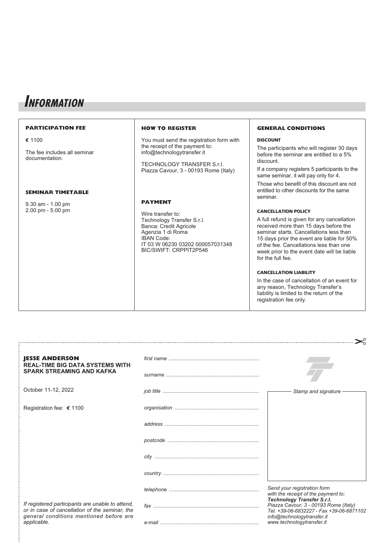## **INFORMATION**

#### **PARTICIPATION FEE e** 1100 The fee includes all seminar documentation. **SEMINAR TIMETABLE** 9.30 am - 1.00 pm 2.00 pm - 5.00 pm **HOW TO REGISTER** You must send the registration form with the receipt of the payment to: info@technologytransfer.it TECHNOLOGY TRANSFER S.r.l. Piazza Cavour, 3 - 00193 Rome (Italy) **PAYMENT** Wire transfer to: Technology Transfer S.r.l. Banca: Credit Agricole Agenzia 1 di Roma IBAN Code: IT 03 W 06230 03202 000057031348 BIC/SWIFT: CRPPIT2P546 **GENERAL CONDITIONS DISCOUNT** The participants who will register 30 days before the seminar are entitled to a 5% discount. If a company registers 5 participants to the same seminar, it will pay only for 4. Those who benefit of this discount are not entitled to other discounts for the same seminar. **CANCELLATION POLICY** A full refund is given for any cancellation received more than 15 days before the seminar starts. Cancellations less than 15 days prior the event are liable for 50% of the fee. Cancellations less than one week prior to the event date will be liable for the full fee.

#### **CANCELLATION LIABILITY**

In the case of cancellation of an event for any reason, Technology Transfer's liability is limited to the return of the registration fee only.

 $\sim$ 

| <b>JESSE ANDERSON</b><br><b>REAL-TIME BIG DATA SYSTEMS WITH</b>                                    |                                                                                                                        |
|----------------------------------------------------------------------------------------------------|------------------------------------------------------------------------------------------------------------------------|
| <b>SPARK STREAMING AND KAFKA</b>                                                                   |                                                                                                                        |
| October 11-12, 2022                                                                                | Stamp and signature                                                                                                    |
| Registration fee: € 1100                                                                           |                                                                                                                        |
|                                                                                                    |                                                                                                                        |
|                                                                                                    |                                                                                                                        |
|                                                                                                    |                                                                                                                        |
|                                                                                                    |                                                                                                                        |
|                                                                                                    | Send your registration form<br>with the receipt of the payment to:                                                     |
| If registered participants are unable to attend,<br>or in case of cancellation of the seminar, the | <b>Technology Transfer S.r.l.</b><br>Piazza Cavour, 3 - 00193 Rome (Italy)<br>Tel. +39-06-6832227 - Fax +39-06-6871102 |
| general conditions mentioned before are<br>applicable.                                             | info@technologytransfer.it<br>www.technologytransfer.it                                                                |